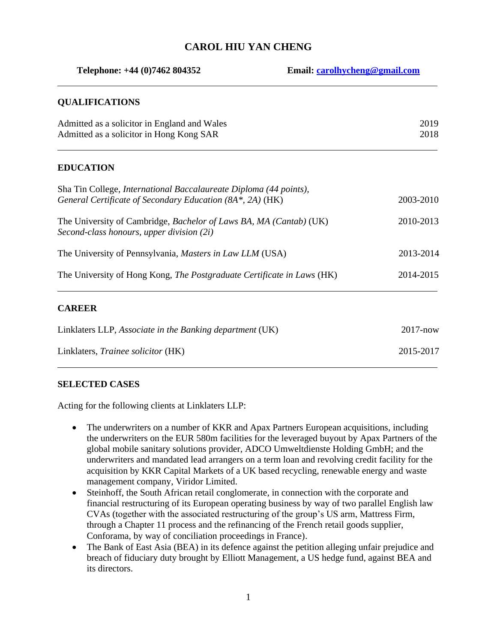# **CAROL HIU YAN CHENG**

| Telephone: +44 (0)7462 804352<br>Email: carolhycheng@gmail.com                                                                 |  |              |
|--------------------------------------------------------------------------------------------------------------------------------|--|--------------|
| <b>QUALIFICATIONS</b>                                                                                                          |  |              |
| Admitted as a solicitor in England and Wales<br>Admitted as a solicitor in Hong Kong SAR                                       |  | 2019<br>2018 |
| <b>EDUCATION</b>                                                                                                               |  |              |
| Sha Tin College, International Baccalaureate Diploma (44 points),<br>General Certificate of Secondary Education (8A*, 2A) (HK) |  | 2003-2010    |
| The University of Cambridge, Bachelor of Laws BA, MA (Cantab) (UK)<br>Second-class honours, upper division (2i)                |  | 2010-2013    |
| The University of Pennsylvania, Masters in Law LLM (USA)                                                                       |  | 2013-2014    |
| The University of Hong Kong, The Postgraduate Certificate in Laws (HK)                                                         |  | 2014-2015    |
| <b>CAREER</b>                                                                                                                  |  |              |
| Linklaters LLP, Associate in the Banking department (UK)                                                                       |  | $2017 - now$ |
| Linklaters, Trainee solicitor (HK)                                                                                             |  | 2015-2017    |

## **SELECTED CASES**

Acting for the following clients at Linklaters LLP:

- The underwriters on a number of KKR and Apax Partners European acquisitions, including the underwriters on the EUR 580m facilities for the leveraged buyout by Apax Partners of the global mobile sanitary solutions provider, ADCO Umweltdienste Holding GmbH; and the underwriters and mandated lead arrangers on a term loan and revolving credit facility for the acquisition by KKR Capital Markets of a UK based recycling, renewable energy and waste management company, Viridor Limited.
- Steinhoff, the South African retail conglomerate, in connection with the corporate and financial restructuring of its European operating business by way of two parallel English law CVAs (together with the associated restructuring of the group's US arm, Mattress Firm, through a Chapter 11 process and the refinancing of the French retail goods supplier, Conforama, by way of conciliation proceedings in France).
- The Bank of East Asia (BEA) in its defence against the petition alleging unfair prejudice and breach of fiduciary duty brought by Elliott Management, a US hedge fund, against BEA and its directors.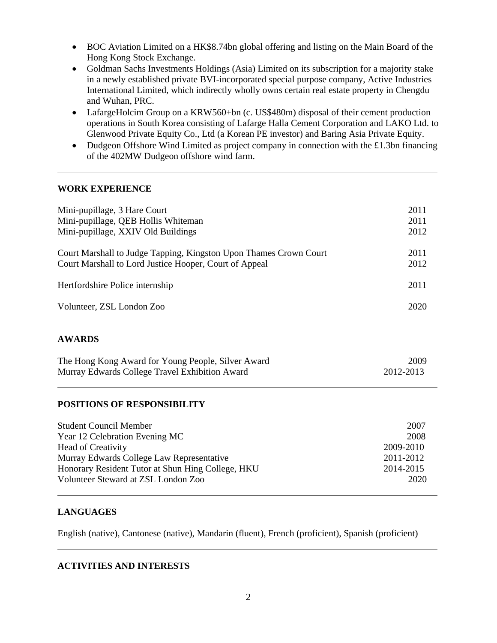- BOC Aviation Limited on a HK\$8.74bn global offering and listing on the Main Board of the Hong Kong Stock Exchange.
- Goldman Sachs Investments Holdings (Asia) Limited on its subscription for a majority stake in a newly established private BVI-incorporated special purpose company, Active Industries International Limited, which indirectly wholly owns certain real estate property in Chengdu and Wuhan, PRC.
- LafargeHolcim Group on a KRW560+bn (c. US\$480m) disposal of their cement production operations in South Korea consisting of Lafarge Halla Cement Corporation and LAKO Ltd. to Glenwood Private Equity Co., Ltd (a Korean PE investor) and Baring Asia Private Equity.
- Dudgeon Offshore Wind Limited as project company in connection with the £1.3bn financing of the 402MW Dudgeon offshore wind farm.

## **WORK EXPERIENCE**

| Mini-pupillage, 3 Hare Court                                      | 2011 |
|-------------------------------------------------------------------|------|
| Mini-pupillage, QEB Hollis Whiteman                               | 2011 |
| Mini-pupillage, XXIV Old Buildings                                | 2012 |
| Court Marshall to Judge Tapping, Kingston Upon Thames Crown Court | 2011 |
| Court Marshall to Lord Justice Hooper, Court of Appeal            | 2012 |
| Hertfordshire Police internship                                   | 2011 |
| Volunteer, ZSL London Zoo                                         | 2020 |

## **AWARDS**

| The Hong Kong Award for Young People, Silver Award | 2009      |
|----------------------------------------------------|-----------|
| Murray Edwards College Travel Exhibition Award     | 2012-2013 |

## **POSITIONS OF RESPONSIBILITY**

| <b>Student Council Member</b>                     | 2007      |
|---------------------------------------------------|-----------|
| Year 12 Celebration Evening MC                    | 2008      |
| <b>Head of Creativity</b>                         | 2009-2010 |
| Murray Edwards College Law Representative         | 2011-2012 |
| Honorary Resident Tutor at Shun Hing College, HKU | 2014-2015 |
| Volunteer Steward at ZSL London Zoo               | 2020      |

## **LANGUAGES**

English (native), Cantonese (native), Mandarin (fluent), French (proficient), Spanish (proficient)

#### **ACTIVITIES AND INTERESTS**